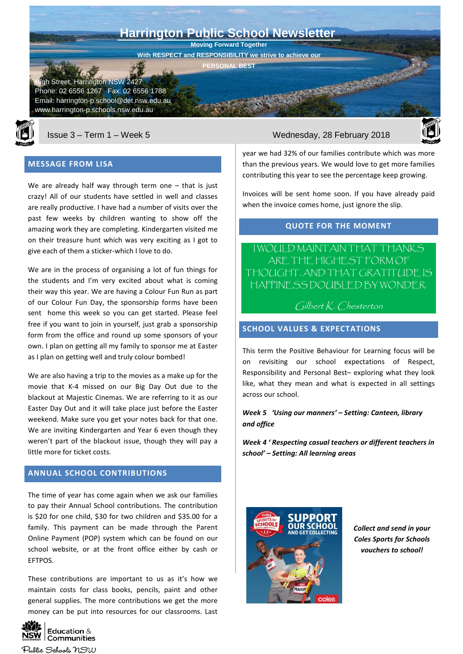Street, Harrington NSW 2427 Phone: 02 6556 1267 Fax: 02 6556 1788 Email: harrington-p.school@det.nsw.edu.au www.harrington-p.schools.nsw.edu.au  **Harrington Public School Newsletter Moving Forward Together With RESPECT and RESPONSIBILITY we strive to achieve our PERSONAL BEST**



## **MESSAGE FROM LISA**

We are already half way through term one – that is just crazy! All of our students have settled in well and classes are really productive. I have had a number of visits over the past few weeks by children wanting to show off the amazing work they are completing. Kindergarten visited me on their treasure hunt which was very exciting as I got to give each of them a sticker-which I love to do.

We are in the process of organising a lot of fun things for the students and I'm very excited about what is coming their way this year. We are having a Colour Fun Run as part of our Colour Fun Day, the sponsorship forms have been sent home this week so you can get started. Please feel free if you want to join in yourself, just grab a sponsorship form from the office and round up some sponsors of your own. I plan on getting all my family to sponsor me at Easter as I plan on getting well and truly colour bombed!

We are also having a trip to the movies as a make up for the movie that K-4 missed on our Big Day Out due to the blackout at Majestic Cinemas. We are referring to it as our Easter Day Out and it will take place just before the Easter weekend. Make sure you get your notes back for that one. We are inviting Kindergarten and Year 6 even though they weren't part of the blackout issue, though they will pay a little more for ticket costs.

# **ANNUAL SCHOOL CONTRIBUTIONS**

The time of year has come again when we ask our families to pay their Annual School contributions. The contribution is \$20 for one child, \$30 for two children and \$35.00 for a family. This payment can be made through the Parent Online Payment (POP) system which can be found on our school website, or at the front office either by cash or EFTPOS.

These contributions are important to us as it's how we maintain costs for class books, pencils, paint and other general supplies. The more contributions we get the more money can be put into resources for our classrooms. Last



## Issue 3 – Term 1 – Week 5 Wednesday, 28 February 2018



year we had 32% of our families contribute which was more than the previous years. We would love to get more families contributing this year to see the percentage keep growing.

Invoices will be sent home soon. If you have already paid when the invoice comes home, just ignore the slip.

## **QUOTE FOR THE MOMENT**

I WOULD MAINTAIN THAT THANKS ARE THE HIGHEST FORM OF THOUGHT, AND THAT GRATITUDE IS HAPPINESS DOUBLED BY WONDER.

# Gilbert K. Chesterton

## **SCHOOL VALUES & EXPECTATIONS**

This term the Positive Behaviour for Learning focus will be on revisiting our school expectations of Respect, Responsibility and Personal Best– exploring what they look like, what they mean and what is expected in all settings across our school.

## *Week 5 'Using our manners' – Setting: Canteen, library and office*

*Week 4 ' Respecting casual teachers or different teachers in school' – Setting: All learning areas*



*Collect and send in your Coles Sports for Schools vouchers to school!*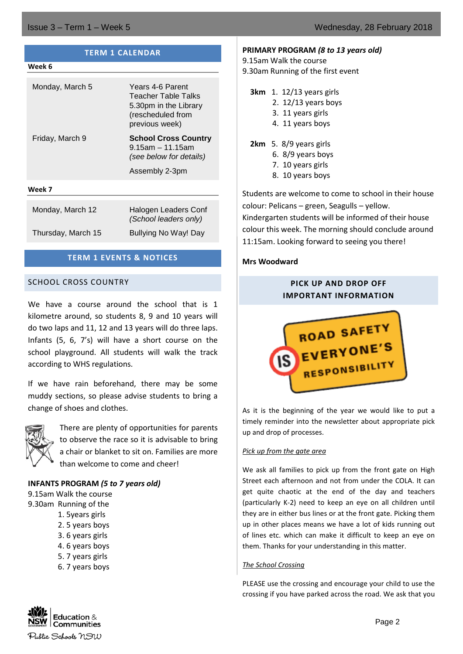| <b>TERM 1 CALENDAR</b> |                                                                                                         |  |  |
|------------------------|---------------------------------------------------------------------------------------------------------|--|--|
| Week 6                 |                                                                                                         |  |  |
| Monday, March 5        | Years 4-6 Parent<br>Teacher Table Talks<br>5.30pm in the Library<br>(rescheduled from<br>previous week) |  |  |
| Friday, March 9        | <b>School Cross Country</b><br>$9.15$ am - 11.15am<br>(see below for details)                           |  |  |
|                        | Assembly 2-3pm                                                                                          |  |  |
| Week 7                 |                                                                                                         |  |  |
| Monday, March 12       | Halogen Leaders Conf<br>(School leaders only)                                                           |  |  |
| Thursday, March 15     | <b>Bullying No Way! Day</b>                                                                             |  |  |

## **TERM 1 EVENTS & NOTICES**

## SCHOOL CROSS COUNTRY

We have a course around the school that is 1 kilometre around, so students 8, 9 and 10 years will do two laps and 11, 12 and 13 years will do three laps. Infants (5, 6, 7's) will have a short course on the school playground. All students will walk the track according to WHS regulations.

If we have rain beforehand, there may be some muddy sections, so please advise students to bring a change of shoes and clothes.



There are plenty of opportunities for parents to observe the race so it is advisable to bring a chair or blanket to sit on. Families are more than welcome to come and cheer!

## **INFANTS PROGRAM** *(5 to 7 years old)*

9.15am Walk the course

- 9.30am Running of the
	- 1. 5years girls
	- 2. 5 years boys
	- 3. 6 years girls
	- 4. 6 years boys
	- 5. 7 years girls
	- 6. 7 years boys



- 9.15am Walk the course
- 9.30am Running of the first event
	- **3km** 1. 12/13 years girls
		- 2. 12/13 years boys
		- 3. 11 years girls
		- 4. 11 years boys
	- **2km** 5. 8/9 years girls
		- 6. 8/9 years boys
		- 7. 10 years girls
		- 8. 10 years boys

Students are welcome to come to school in their house colour: Pelicans – green, Seagulls – yellow. Kindergarten students will be informed of their house colour this week. The morning should conclude around 11:15am. Looking forward to seeing you there!

## **Mrs Woodward**

# **PICK UP AND DROP OFF IMPORTANT INFORMATION**



As it is the beginning of the year we would like to put a timely reminder into the newsletter about appropriate pick up and drop of processes.

## *Pick up from the gate area*

We ask all families to pick up from the front gate on High Street each afternoon and not from under the COLA. It can get quite chaotic at the end of the day and teachers (particularly K-2) need to keep an eye on all children until they are in either bus lines or at the front gate. Picking them up in other places means we have a lot of kids running out of lines etc. which can make it difficult to keep an eye on them. Thanks for your understanding in this matter.

## *The School Crossing*

PLEASE use the crossing and encourage your child to use the crossing if you have parked across the road. We ask that you

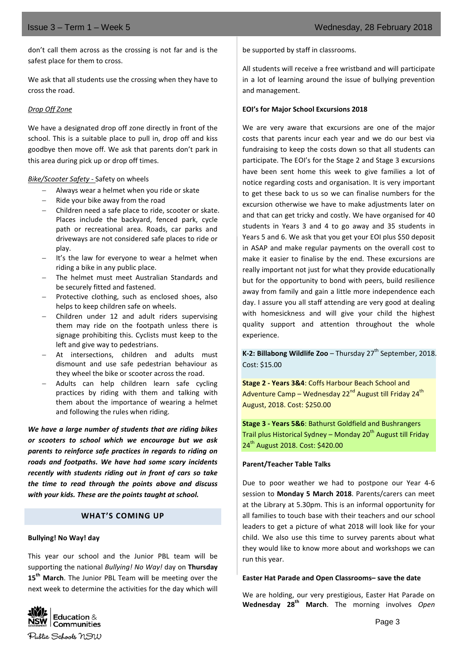don't call them across as the crossing is not far and is the safest place for them to cross.

We ask that all students use the crossing when they have to cross the road.

## *Drop Off Zone*

We have a designated drop off zone directly in front of the school. This is a suitable place to pull in, drop off and kiss goodbye then move off. We ask that parents don't park in this area during pick up or drop off times.

## *Bike/Scooter Safety -* Safety on wheels

- − Always wear a helmet when you ride or skate
- Ride your bike away from the road
- − Children need a safe place to ride, scooter or skate. Places include the backyard, fenced park, cycle path or recreational area. Roads, car parks and driveways are not considered safe places to ride or play.
- It's the law for everyone to wear a helmet when riding a bike in any public place.
- The helmet must meet Australian Standards and be securely fitted and fastened.
- Protective clothing, such as enclosed shoes, also helps to keep children safe on wheels.
- − Children under 12 and adult riders supervising them may ride on the footpath unless there is signage prohibiting this. Cyclists must keep to the left and give way to pedestrians.
- At intersections, children and adults must dismount and use safe pedestrian behaviour as they wheel the bike or scooter across the road.
- − Adults can help children learn safe cycling practices by riding with them and talking with them about the importance of wearing a helmet and following the rules when riding.

*We have a large number of students that are riding bikes or scooters to school which we encourage but we ask parents to reinforce safe practices in regards to riding on roads and footpaths. We have had some scary incidents recently with students riding out in front of cars so take the time to read through the points above and discuss with your kids. These are the points taught at school.*

## **WHAT'S COMING UP**

## **Bullying! No Way! day**

This year our school and the Junior PBL team will be supporting the national *Bullying! No Way!* day on **Thursday 15th March**. The Junior PBL Team will be meeting over the next week to determine the activities for the day which will



All students will receive a free wristband and will participate in a lot of learning around the issue of bullying prevention and management.

## **EOI's for Major School Excursions 2018**

We are very aware that excursions are one of the major costs that parents incur each year and we do our best via fundraising to keep the costs down so that all students can participate. The EOI's for the Stage 2 and Stage 3 excursions have been sent home this week to give families a lot of notice regarding costs and organisation. It is very important to get these back to us so we can finalise numbers for the excursion otherwise we have to make adjustments later on and that can get tricky and costly. We have organised for 40 students in Years 3 and 4 to go away and 35 students in Years 5 and 6. We ask that you get your EOI plus \$50 deposit in ASAP and make regular payments on the overall cost to make it easier to finalise by the end. These excursions are really important not just for what they provide educationally but for the opportunity to bond with peers, build resilience away from family and gain a little more independence each day. I assure you all staff attending are very good at dealing with homesickness and will give your child the highest quality support and attention throughout the whole experience.

**K-2: Billabong Wildlife Zoo** – Thursday  $27<sup>th</sup>$  September, 2018. Cost: \$15.00

**Stage 2 - Years 3&4**: Coffs Harbour Beach School and Adventure Camp – Wednesday 22<sup>nd</sup> August till Friday 24<sup>th</sup> August, 2018. Cost: \$250.00

**Stage 3 - Years 5&6**: Bathurst Goldfield and Bushrangers Trail plus Historical Sydney – Monday  $20<sup>th</sup>$  August till Friday 24<sup>th</sup> August 2018. Cost: \$420.00

## **Parent/Teacher Table Talks**

Due to poor weather we had to postpone our Year 4-6 session to **Monday 5 March 2018**. Parents/carers can meet at the Library at 5.30pm. This is an informal opportunity for all families to touch base with their teachers and our school leaders to get a picture of what 2018 will look like for your child. We also use this time to survey parents about what they would like to know more about and workshops we can run this year.

## **Easter Hat Parade and Open Classrooms– save the date**

We are holding, our very prestigious, Easter Hat Parade on **Wednesday 28th March**. The morning involves *Open* 

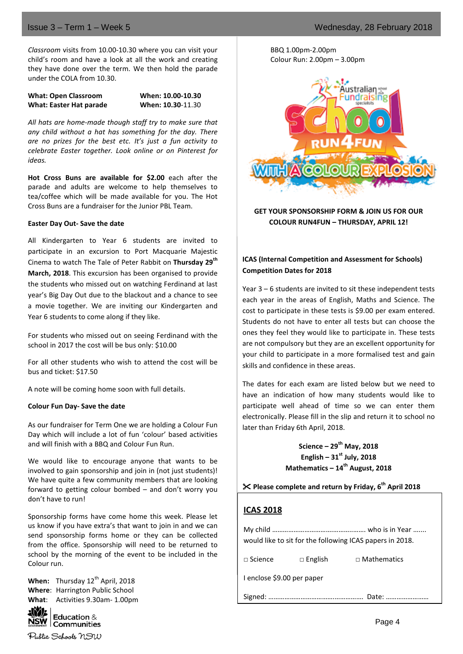*Classroom* visits from 10.00-10.30 where you can visit your child's room and have a look at all the work and creating they have done over the term. We then hold the parade under the COLA from 10.30.

**What: Open Classroom When: 10.00-10.30 What: Easter Hat parade When: 10.30**-11.30

*All hats are home-made though staff try to make sure that any child without a hat has something for the day. There are no prizes for the best etc. It's just a fun activity to celebrate Easter together. Look online or on Pinterest for ideas.*

**Hot Cross Buns are available for \$2.00** each after the parade and adults are welcome to help themselves to tea/coffee which will be made available for you. The Hot Cross Buns are a fundraiser for the Junior PBL Team.

## **Easter Day Out- Save the date**

All Kindergarten to Year 6 students are invited to participate in an excursion to Port Macquarie Majestic Cinema to watch The Tale of Peter Rabbit on **Thursday 29th March, 2018**. This excursion has been organised to provide the students who missed out on watching Ferdinand at last year's Big Day Out due to the blackout and a chance to see a movie together. We are inviting our Kindergarten and Year 6 students to come along if they like.

For students who missed out on seeing Ferdinand with the school in 2017 the cost will be bus only: \$10.00

For all other students who wish to attend the cost will be bus and ticket: \$17.50

A note will be coming home soon with full details.

## **Colour Fun Day- Save the date**

As our fundraiser for Term One we are holding a Colour Fun Day which will include a lot of fun 'colour' based activities and will finish with a BBQ and Colour Fun Run.

We would like to encourage anyone that wants to be involved to gain sponsorship and join in (not just students)! We have quite a few community members that are looking forward to getting colour bombed – and don't worry you don't have to run!

Sponsorship forms have come home this week. Please let us know if you have extra's that want to join in and we can send sponsorship forms home or they can be collected from the office. Sponsorship will need to be returned to school by the morning of the event to be included in the Colour run.

**When:** Thursday 12<sup>th</sup> April, 2018 **Where**: Harrington Public School **What**: Activities 9.30am- 1.00pm



 $\overline{\text{NSW}}$   $\overline{\text{Communities}}$ Public Schools NSW BBQ 1.00pm-2.00pm Colour Run: 2.00pm – 3.00pm



**GET YOUR SPONSORSHIP FORM & JOIN US FOR OUR COLOUR RUN4FUN – THURSDAY, APRIL 12!**

## **ICAS (Internal Competition and Assessment for Schools) Competition Dates for 2018**

Year 3 – 6 students are invited to sit these independent tests each year in the areas of English, Maths and Science. The cost to participate in these tests is \$9.00 per exam entered. Students do not have to enter all tests but can choose the ones they feel they would like to participate in. These tests are not compulsory but they are an excellent opportunity for your child to participate in a more formalised test and gain skills and confidence in these areas.

The dates for each exam are listed below but we need to have an indication of how many students would like to participate well ahead of time so we can enter them electronically. Please fill in the slip and return it to school no later than Friday 6th April, 2018.

> **Science – 29th May, 2018 English – 31st July, 2018 Mathematics – 14th August, 2018**

**Please complete and return by Friday, 6th April 2018**

# **ICAS 2018**

|                            |                | would like to sit for the following ICAS papers in 2018. |
|----------------------------|----------------|----------------------------------------------------------|
| $\Box$ Science             | $\Box$ English | $\Box$ Mathematics                                       |
| I enclose \$9.00 per paper |                |                                                          |
|                            |                | Date:                                                    |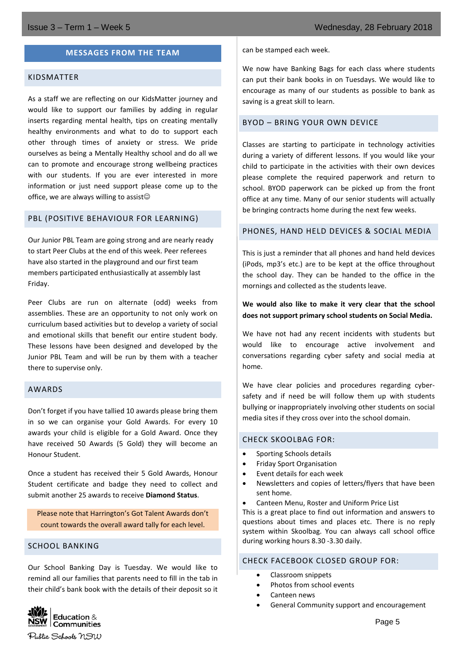## **MESSAGES FROM THE TEAM**

## KIDSMATTER

As a staff we are reflecting on our KidsMatter journey and would like to support our families by adding in regular inserts regarding mental health, tips on creating mentally healthy environments and what to do to support each other through times of anxiety or stress. We pride ourselves as being a Mentally Healthy school and do all we can to promote and encourage strong wellbeing practices with our students. If you are ever interested in more information or just need support please come up to the office, we are always willing to assist $\circledcirc$ 

## PBL (POSITIVE BEHAVIOUR FOR LEARNING)

Our Junior PBL Team are going strong and are nearly ready to start Peer Clubs at the end of this week. Peer referees have also started in the playground and our first team members participated enthusiastically at assembly last Friday.

Peer Clubs are run on alternate (odd) weeks from assemblies. These are an opportunity to not only work on curriculum based activities but to develop a variety of social and emotional skills that benefit our entire student body. These lessons have been designed and developed by the Junior PBL Team and will be run by them with a teacher there to supervise only.

#### AWARDS

Don't forget if you have tallied 10 awards please bring them in so we can organise your Gold Awards. For every 10 awards your child is eligible for a Gold Award. Once they have received 50 Awards (5 Gold) they will become an Honour Student.

Once a student has received their 5 Gold Awards, Honour Student certificate and badge they need to collect and submit another 25 awards to receive **Diamond Status**.

Please note that Harrington's Got Talent Awards don't count towards the overall award tally for each level.

## SCHOOL BANKING

Our School Banking Day is Tuesday. We would like to remind all our families that parents need to fill in the tab in their child's bank book with the details of their deposit so it



can be stamped each week.

We now have Banking Bags for each class where students can put their bank books in on Tuesdays. We would like to encourage as many of our students as possible to bank as saving is a great skill to learn.

## BYOD – BRING YOUR OWN DEVICE

Classes are starting to participate in technology activities during a variety of different lessons. If you would like your child to participate in the activities with their own devices please complete the required paperwork and return to school. BYOD paperwork can be picked up from the front office at any time. Many of our senior students will actually be bringing contracts home during the next few weeks.

## PHONES, HAND HELD DEVICES & SOCIAL MEDIA

This is just a reminder that all phones and hand held devices (iPods, mp3's etc.) are to be kept at the office throughout the school day. They can be handed to the office in the mornings and collected as the students leave.

## **We would also like to make it very clear that the school does not support primary school students on Social Media.**

We have not had any recent incidents with students but would like to encourage active involvement and conversations regarding cyber safety and social media at home.

We have clear policies and procedures regarding cybersafety and if need be will follow them up with students bullying or inappropriately involving other students on social media sites if they cross over into the school domain.

#### CHECK SKOOLBAG FOR:

- Sporting Schools details
- Friday Sport Organisation
- Event details for each week
- Newsletters and copies of letters/flyers that have been sent home.
- Canteen Menu, Roster and Uniform Price List

This is a great place to find out information and answers to questions about times and places etc. There is no reply system within Skoolbag. You can always call school office during working hours 8.30 -3.30 daily.

#### CHECK FACEBOOK CLOSED GROUP FOR:

- Classroom snippets
- Photos from school events
- Canteen news
- General Community support and encouragement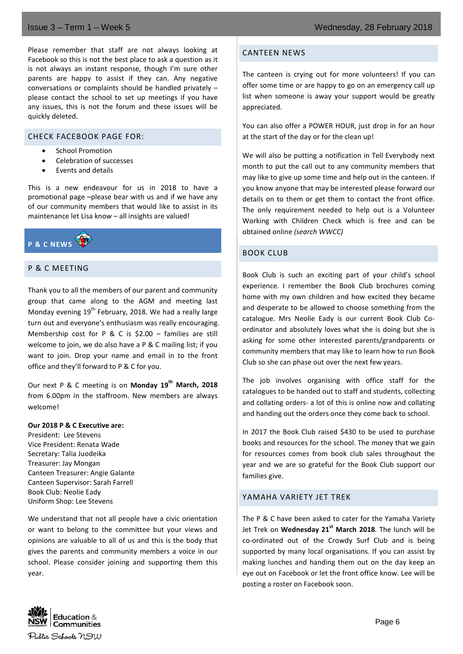Please remember that staff are not always looking at Facebook so this is not the best place to ask a question as it is not always an instant response, though I'm sure other parents are happy to assist if they can. Any negative conversations or complaints should be handled privately – please contact the school to set up meetings if you have any issues, this is not the forum and these issues will be quickly deleted.

## CHECK FACEBOOK PAGE FOR:

- School Promotion
- Celebration of successes
- Events and details

This is a new endeavour for us in 2018 to have a promotional page –please bear with us and if we have any of our community members that would like to assist in its maintenance let Lisa know – all insights are valued!



## P & C MEETING

Thank you to all the members of our parent and community group that came along to the AGM and meeting last Monday evening  $19<sup>th</sup>$  February, 2018. We had a really large turn out and everyone's enthusiasm was really encouraging. Membership cost for P & C is  $$2.00 -$  families are still welcome to join, we do also have a P & C mailing list; if you want to join. Drop your name and email in to the front office and they'll forward to P & C for you.

Our next P & C meeting is on **Monday 19th March, 2018** from 6.00pm in the staffroom. New members are always welcome!

#### **Our 2018 P & C Executive are:**

President: Lee Stevens Vice President: Renata Wade Secretary: Talia Juodeika Treasurer: Jay Mongan Canteen Treasurer: Angie Galante Canteen Supervisor: Sarah Farrell Book Club: Neolie Eady Uniform Shop: Lee Stevens

We understand that not all people have a civic orientation or want to belong to the committee but your views and opinions are valuable to all of us and this is the body that gives the parents and community members a voice in our school. Please consider joining and supporting them this year.

## CANTEEN NEWS

The canteen is crying out for more volunteers! If you can offer some time or are happy to go on an emergency call up list when someone is away your support would be greatly appreciated.

You can also offer a POWER HOUR, just drop in for an hour at the start of the day or for the clean up!

We will also be putting a notification in Tell Everybody next month to put the call out to any community members that may like to give up some time and help out in the canteen. If you know anyone that may be interested please forward our details on to them or get them to contact the front office. The only requirement needed to help out is a Volunteer Working with Children Check which is free and can be obtained online *(search WWCC)*

## BOOK CLUB

Book Club is such an exciting part of your child's school experience. I remember the Book Club brochures coming home with my own children and how excited they became and desperate to be allowed to choose something from the catalogue. Mrs Neolie Eady is our current Book Club Coordinator and absolutely loves what she is doing but she is asking for some other interested parents/grandparents or community members that may like to learn how to run Book Club so she can phase out over the next few years.

The job involves organising with office staff for the catalogues to be handed out to staff and students, collecting and collating orders- a lot of this is online now and collating and handing out the orders once they come back to school.

In 2017 the Book Club raised \$430 to be used to purchase books and resources for the school. The money that we gain for resources comes from book club sales throughout the year and we are so grateful for the Book Club support our families give.

## YAMAHA VARIETY JET TREK

The P & C have been asked to cater for the Yamaha Variety Jet Trek on **Wednesday 21st March 2018**. The lunch will be co-ordinated out of the Crowdy Surf Club and is being supported by many local organisations. If you can assist by making lunches and handing them out on the day keep an eye out on Facebook or let the front office know. Lee will be posting a roster on Facebook soon.

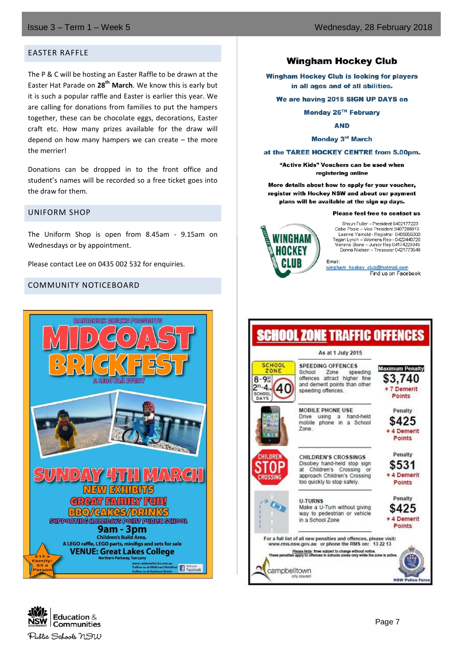## EASTER RAFFLE

The P & C will be hosting an Easter Raffle to be drawn at the Easter Hat Parade on **28th March**. We know this is early but it is such a popular raffle and Easter is earlier this year. We are calling for donations from families to put the hampers together, these can be chocolate eggs, decorations, Easter craft etc. How many prizes available for the draw will depend on how many hampers we can create – the more the merrier!

Donations can be dropped in to the front office and student's names will be recorded so a free ticket goes into the draw for them.

## UNIFORM SHOP

The Uniform Shop is open from 8.45am - 9.15am on Wednesdays or by appointment.

Please contact Lee on 0435 002 532 for enquiries.

## COMMUNITY NOTICEBOARD



# **Wingham Hockey Club**

**Wingham Hockey Club is looking for players** in all ages and of all abilities.

#### We are having 2018 SIGN UP DAYS on

Monday 26TH February

**AND** 

#### Monday 3rd March

#### at the TAREE HOCKEY CENTRE from 5.00pm.

"Active Kids" Vouchers can be used when registering online

More details about how to apply for your voucher, register with Hockey NSW and about our payment plans will be available at the sign up days.

#### Please feel free to contact us



Shaun Fuller - President 0402177223 Gabe Poole - Vice President 0407288013 Leanne Yarnold - Registrar 0455855000 Tegan Lynch - Womens Rep - 0422446726<br>Marlena Stone - Junior Rep 04174229945 Donna Nielsen - Treasurer 0421773548

Email: wingham hockey club@hotmail.com

|                                                                | As at 1 July 2015                                                                                                                                  |                                                            |
|----------------------------------------------------------------|----------------------------------------------------------------------------------------------------------------------------------------------------|------------------------------------------------------------|
| <b>SCHOOL</b><br>ZONE<br>$8 - 9$<br>$30 - A$<br>SCHOOL<br>DAYS | <b>SPEEDING OFFENCES</b><br>School<br>Zone<br>speeding<br>offences attract<br>higher fine<br>and demerit points than other<br>speeding offences.   | <b>Maximum Penalty</b><br>\$3.740<br>+ 7 Demerit<br>Points |
|                                                                | <b>MOBILE PHONE USE</b><br>Drive<br>hand-held<br>using<br>a<br>a School<br>mobile<br>phone in<br>Zone                                              | Penalty<br>\$425<br>+ 4 Demerit<br>Points                  |
| <b>CHILDREN</b><br><b>CROSSING</b>                             | CHILDREN'S CROSSINGS<br>Disobey hand-held stop sign<br>Children's Crossing or<br>at<br>approach Children's Crossing<br>too quickly to stop safely. | Penalty<br>\$531<br>4 Demerit<br><b>Points</b>             |
|                                                                | <b>U-TURNS</b><br>Make a U-Turn without giving<br>way to pedestrian or vehicle<br>in a School Zone                                                 | Penalty<br>425<br>4 Demerit<br><b>Points</b>               |
|                                                                | For a full list of all new penalties and offences, please visit:<br>www.rms.nsw.gov.au or phone the RMS on: 13 22 13                               |                                                            |